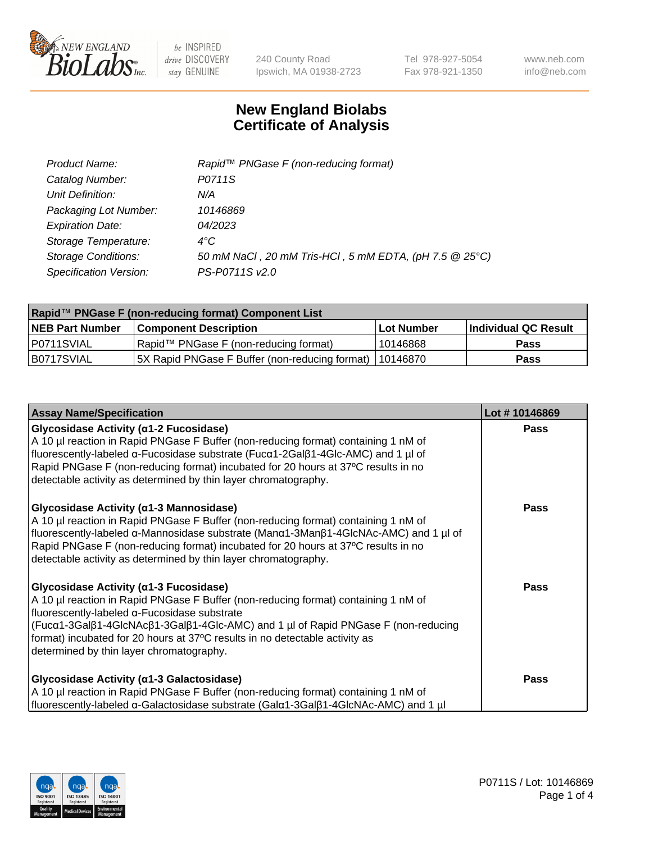

240 County Road Ipswich, MA 01938-2723 Tel 978-927-5054 Fax 978-921-1350 www.neb.com info@neb.com

## **New England Biolabs Certificate of Analysis**

| Product Name:              | Rapid <sup>™</sup> PNGase F (non-reducing format)      |
|----------------------------|--------------------------------------------------------|
| Catalog Number:            | P0711S                                                 |
| Unit Definition:           | N/A                                                    |
| Packaging Lot Number:      | 10146869                                               |
| <b>Expiration Date:</b>    | 04/2023                                                |
| Storage Temperature:       | $4^{\circ}C$                                           |
| <b>Storage Conditions:</b> | 50 mM NaCl, 20 mM Tris-HCl, 5 mM EDTA, (pH 7.5 @ 25°C) |
| Specification Version:     | PS-P0711S v2.0                                         |

| Rapid™ PNGase F (non-reducing format) Component List |                                                         |            |                      |  |
|------------------------------------------------------|---------------------------------------------------------|------------|----------------------|--|
| <b>NEB Part Number</b>                               | <b>Component Description</b>                            | Lot Number | Individual QC Result |  |
| P0711SVIAL                                           | Rapid™ PNGase F (non-reducing format)                   | 10146868   | <b>Pass</b>          |  |
| B0717SVIAL                                           | 5X Rapid PNGase F Buffer (non-reducing format) 10146870 |            | <b>Pass</b>          |  |

| <b>Assay Name/Specification</b>                                                                                                                                                                                                                                                                                                                                                              | Lot #10146869 |
|----------------------------------------------------------------------------------------------------------------------------------------------------------------------------------------------------------------------------------------------------------------------------------------------------------------------------------------------------------------------------------------------|---------------|
| Glycosidase Activity (α1-2 Fucosidase)<br>A 10 µl reaction in Rapid PNGase F Buffer (non-reducing format) containing 1 nM of<br>fluorescently-labeled α-Fucosidase substrate (Fucα1-2Galβ1-4Glc-AMC) and 1 µl of<br>Rapid PNGase F (non-reducing format) incubated for 20 hours at 37°C results in no<br>detectable activity as determined by thin layer chromatography.                     | <b>Pass</b>   |
| <b>Glycosidase Activity (α1-3 Mannosidase)</b><br>A 10 µl reaction in Rapid PNGase F Buffer (non-reducing format) containing 1 nM of<br>fluorescently-labeled α-Mannosidase substrate (Manα1-3Manβ1-4GlcNAc-AMC) and 1 µl of<br>Rapid PNGase F (non-reducing format) incubated for 20 hours at 37°C results in no<br>detectable activity as determined by thin layer chromatography.         | <b>Pass</b>   |
| Glycosidase Activity (α1-3 Fucosidase)<br>A 10 µl reaction in Rapid PNGase F Buffer (non-reducing format) containing 1 nM of<br>fluorescently-labeled α-Fucosidase substrate<br>(Fucα1-3Galβ1-4GlcNAcβ1-3Galβ1-4Glc-AMC) and 1 µl of Rapid PNGase F (non-reducing<br>format) incubated for 20 hours at 37°C results in no detectable activity as<br>determined by thin layer chromatography. | <b>Pass</b>   |
| <b>Glycosidase Activity (α1-3 Galactosidase)</b><br>A 10 µl reaction in Rapid PNGase F Buffer (non-reducing format) containing 1 nM of<br>fluorescently-labeled α-Galactosidase substrate (Galα1-3Galβ1-4GlcNAc-AMC) and 1 µl                                                                                                                                                                | <b>Pass</b>   |

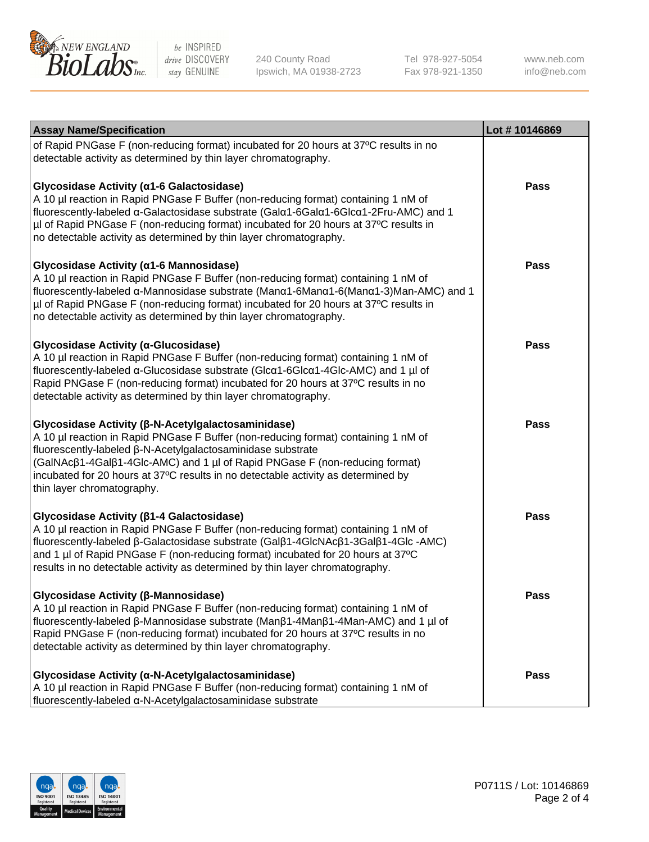

240 County Road Ipswich, MA 01938-2723 Tel 978-927-5054 Fax 978-921-1350

www.neb.com info@neb.com

| <b>Assay Name/Specification</b>                                                                                                                                                                                                                                                                                                                                                                           | Lot #10146869 |
|-----------------------------------------------------------------------------------------------------------------------------------------------------------------------------------------------------------------------------------------------------------------------------------------------------------------------------------------------------------------------------------------------------------|---------------|
| of Rapid PNGase F (non-reducing format) incubated for 20 hours at 37°C results in no<br>detectable activity as determined by thin layer chromatography.                                                                                                                                                                                                                                                   |               |
| Glycosidase Activity (α1-6 Galactosidase)<br>A 10 µl reaction in Rapid PNGase F Buffer (non-reducing format) containing 1 nM of<br>fluorescently-labeled α-Galactosidase substrate (Galα1-6Galα1-6Glcα1-2Fru-AMC) and 1<br>µl of Rapid PNGase F (non-reducing format) incubated for 20 hours at 37°C results in<br>no detectable activity as determined by thin layer chromatography.                     | <b>Pass</b>   |
| Glycosidase Activity (α1-6 Mannosidase)<br>A 10 µl reaction in Rapid PNGase F Buffer (non-reducing format) containing 1 nM of<br>fluorescently-labeled α-Mannosidase substrate (Manα1-6Manα1-6(Manα1-3)Man-AMC) and 1<br>µl of Rapid PNGase F (non-reducing format) incubated for 20 hours at 37°C results in<br>no detectable activity as determined by thin layer chromatography.                       | <b>Pass</b>   |
| Glycosidase Activity (α-Glucosidase)<br>A 10 µl reaction in Rapid PNGase F Buffer (non-reducing format) containing 1 nM of<br>fluorescently-labeled α-Glucosidase substrate (Glcα1-6Glcα1-4Glc-AMC) and 1 µl of<br>Rapid PNGase F (non-reducing format) incubated for 20 hours at 37°C results in no<br>detectable activity as determined by thin layer chromatography.                                   | <b>Pass</b>   |
| Glycosidase Activity (β-N-Acetylgalactosaminidase)<br>A 10 µl reaction in Rapid PNGase F Buffer (non-reducing format) containing 1 nM of<br>fluorescently-labeled β-N-Acetylgalactosaminidase substrate<br>(GalNAcβ1-4Galβ1-4Glc-AMC) and 1 µl of Rapid PNGase F (non-reducing format)<br>incubated for 20 hours at 37°C results in no detectable activity as determined by<br>thin layer chromatography. | <b>Pass</b>   |
| Glycosidase Activity (β1-4 Galactosidase)<br>A 10 µl reaction in Rapid PNGase F Buffer (non-reducing format) containing 1 nM of<br>fluorescently-labeled β-Galactosidase substrate (Galβ1-4GlcNAcβ1-3Galβ1-4Glc-AMC)<br>and 1 µl of Rapid PNGase F (non-reducing format) incubated for 20 hours at 37°C<br>results in no detectable activity as determined by thin layer chromatography.                  | <b>Pass</b>   |
| Glycosidase Activity (β-Mannosidase)<br>A 10 µl reaction in Rapid PNGase F Buffer (non-reducing format) containing 1 nM of<br>fluorescently-labeled β-Mannosidase substrate (Manβ1-4Manβ1-4Man-AMC) and 1 µl of<br>Rapid PNGase F (non-reducing format) incubated for 20 hours at 37°C results in no<br>detectable activity as determined by thin layer chromatography.                                   | Pass          |
| Glycosidase Activity (α-N-Acetylgalactosaminidase)<br>A 10 µl reaction in Rapid PNGase F Buffer (non-reducing format) containing 1 nM of<br>fluorescently-labeled α-N-Acetylgalactosaminidase substrate                                                                                                                                                                                                   | <b>Pass</b>   |

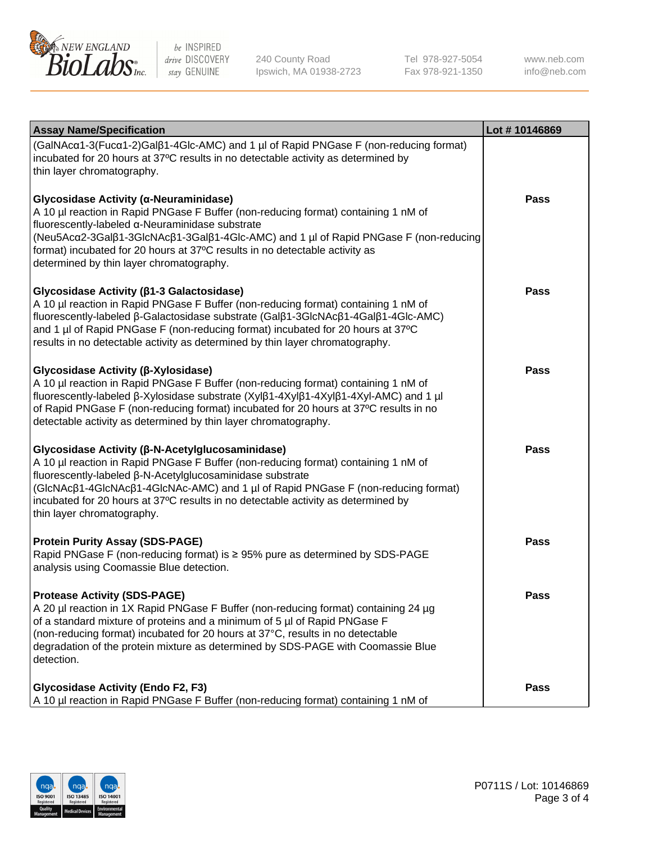

240 County Road Ipswich, MA 01938-2723 Tel 978-927-5054 Fax 978-921-1350

www.neb.com info@neb.com

| <b>Assay Name/Specification</b>                                                                                                                                                                                                                                                                                                                                                                                                                                                                                                                                                                               | Lot #10146869 |
|---------------------------------------------------------------------------------------------------------------------------------------------------------------------------------------------------------------------------------------------------------------------------------------------------------------------------------------------------------------------------------------------------------------------------------------------------------------------------------------------------------------------------------------------------------------------------------------------------------------|---------------|
| (GalNAcα1-3(Fucα1-2)Galß1-4Glc-AMC) and 1 µl of Rapid PNGase F (non-reducing format)<br>incubated for 20 hours at 37°C results in no detectable activity as determined by<br>thin layer chromatography.<br>Glycosidase Activity (α-Neuraminidase)<br>A 10 µl reaction in Rapid PNGase F Buffer (non-reducing format) containing 1 nM of<br>fluorescently-labeled α-Neuraminidase substrate<br>(Neu5Acα2-3Galβ1-3GlcNAcβ1-3Galβ1-4Glc-AMC) and 1 µl of Rapid PNGase F (non-reducing<br>format) incubated for 20 hours at 37°C results in no detectable activity as<br>determined by thin layer chromatography. | Pass          |
| Glycosidase Activity (β1-3 Galactosidase)<br>A 10 µl reaction in Rapid PNGase F Buffer (non-reducing format) containing 1 nM of<br>fluorescently-labeled β-Galactosidase substrate (Galβ1-3GlcNAcβ1-4Galβ1-4Glc-AMC)<br>and 1 µl of Rapid PNGase F (non-reducing format) incubated for 20 hours at 37°C<br>results in no detectable activity as determined by thin layer chromatography.                                                                                                                                                                                                                      | Pass          |
| Glycosidase Activity (β-Xylosidase)<br>A 10 µl reaction in Rapid PNGase F Buffer (non-reducing format) containing 1 nM of<br>fluorescently-labeled β-Xylosidase substrate (Xylβ1-4Xylβ1-4Xylβ1-4Xyl-AMC) and 1 µl<br>of Rapid PNGase F (non-reducing format) incubated for 20 hours at 37°C results in no<br>detectable activity as determined by thin layer chromatography.                                                                                                                                                                                                                                  | Pass          |
| <b>Glycosidase Activity (β-N-Acetylglucosaminidase)</b><br>A 10 µl reaction in Rapid PNGase F Buffer (non-reducing format) containing 1 nM of<br>fluorescently-labeled β-N-Acetylglucosaminidase substrate<br>(GIcNAcβ1-4GIcNAcβ1-4GIcNAc-AMC) and 1 µl of Rapid PNGase F (non-reducing format)<br>incubated for 20 hours at 37°C results in no detectable activity as determined by<br>thin layer chromatography.                                                                                                                                                                                            | <b>Pass</b>   |
| <b>Protein Purity Assay (SDS-PAGE)</b><br>Rapid PNGase F (non-reducing format) is ≥ 95% pure as determined by SDS-PAGE<br>analysis using Coomassie Blue detection.                                                                                                                                                                                                                                                                                                                                                                                                                                            | <b>Pass</b>   |
| <b>Protease Activity (SDS-PAGE)</b><br>A 20 µl reaction in 1X Rapid PNGase F Buffer (non-reducing format) containing 24 µg<br>of a standard mixture of proteins and a minimum of 5 µl of Rapid PNGase F<br>(non-reducing format) incubated for 20 hours at 37°C, results in no detectable<br>degradation of the protein mixture as determined by SDS-PAGE with Coomassie Blue<br>detection.                                                                                                                                                                                                                   | Pass          |
| <b>Glycosidase Activity (Endo F2, F3)</b><br>A 10 µl reaction in Rapid PNGase F Buffer (non-reducing format) containing 1 nM of                                                                                                                                                                                                                                                                                                                                                                                                                                                                               | Pass          |